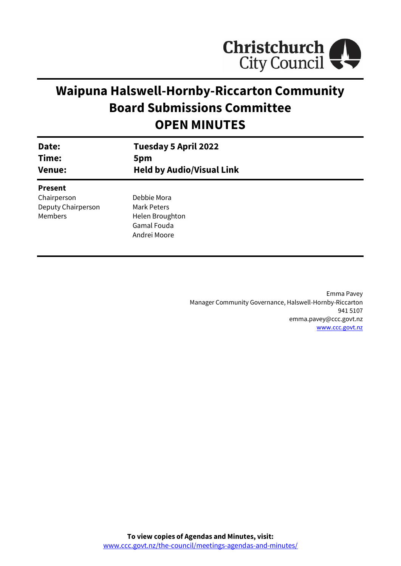

# **Waipuna Halswell-Hornby-Riccarton Community Board Submissions Committee OPEN MINUTES**

| Date:<br>Time:<br><b>Venue:</b> | <b>Tuesday 5 April 2022</b><br>5pm<br><b>Held by Audio/Visual Link</b> |
|---------------------------------|------------------------------------------------------------------------|
| <b>Present</b>                  |                                                                        |
| Chairperson                     | Debbie Mora                                                            |
| Deputy Chairperson              | Mark Peters                                                            |
| <b>Members</b>                  | Helen Broughton                                                        |
|                                 | Gamal Fouda                                                            |
|                                 | Andrei Moore                                                           |
|                                 |                                                                        |

Emma Pavey Manager Community Governance, Halswell-Hornby-Riccarton 941 5107 emma.pavey@ccc.govt.nz [www.ccc.govt.nz](http://www.ccc.govt.nz/)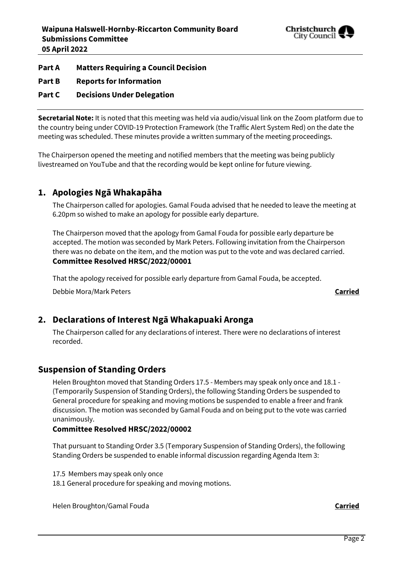

# **Part A Matters Requiring a Council Decision**

**Part B Reports for Information**

# **Part C Decisions Under Delegation**

**Secretarial Note:** It is noted that this meeting was held via audio/visual link on the Zoom platform due to the country being under COVID-19 Protection Framework (the Traffic Alert System Red) on the date the meeting was scheduled. These minutes provide a written summary of the meeting proceedings.

The Chairperson opened the meeting and notified members that the meeting was being publicly livestreamed on YouTube and that the recording would be kept online for future viewing.

# **1. Apologies Ngā Whakapāha**

The Chairperson called for apologies. Gamal Fouda advised that he needed to leave the meeting at 6.20pm so wished to make an apology for possible early departure.

The Chairperson moved that the apology from Gamal Fouda for possible early departure be accepted. The motion was seconded by Mark Peters. Following invitation from the Chairperson there was no debate on the item, and the motion was put to the vote and was declared carried. **Committee Resolved HRSC/2022/00001**

That the apology received for possible early departure from Gamal Fouda, be accepted.

Debbie Mora/Mark Peters **Carried**

# **2. Declarations of Interest Ngā Whakapuaki Aronga**

The Chairperson called for any declarations of interest. There were no declarations of interest recorded.

# **Suspension of Standing Orders**

Helen Broughton moved that Standing Orders 17.5 - Members may speak only once and 18.1 - (Temporarily Suspension of Standing Orders), the following Standing Orders be suspended to General procedure for speaking and moving motions be suspended to enable a freer and frank discussion. The motion was seconded by Gamal Fouda and on being put to the vote was carried unanimously.

#### **Committee Resolved HRSC/2022/00002**

That pursuant to Standing Order 3.5 (Temporary Suspension of Standing Orders), the following Standing Orders be suspended to enable informal discussion regarding Agenda Item 3:

17.5 Members may speak only once

18.1 General procedure for speaking and moving motions.

Helen Broughton/Gamal Fouda **Carried**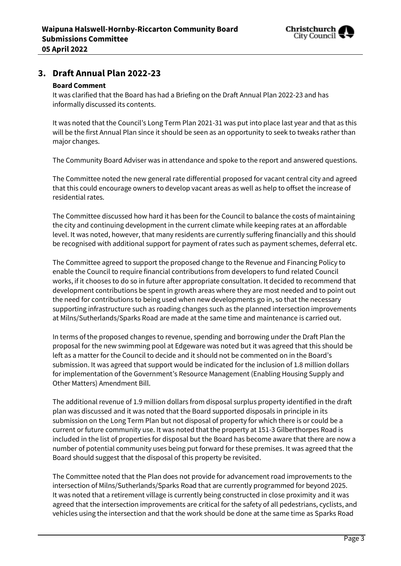

# **3. Draft Annual Plan 2022-23**

#### **Board Comment**

It was clarified that the Board has had a Briefing on the Draft Annual Plan 2022-23 and has informally discussed its contents.

It was noted that the Council's Long Term Plan 2021-31 was put into place last year and that as this will be the first Annual Plan since it should be seen as an opportunity to seek to tweaks rather than major changes.

The Community Board Adviser was in attendance and spoke to the report and answered questions.

The Committee noted the new general rate differential proposed for vacant central city and agreed that this could encourage owners to develop vacant areas as well as help to offset the increase of residential rates.

The Committee discussed how hard it has been for the Council to balance the costs of maintaining the city and continuing development in the current climate while keeping rates at an affordable level. It was noted, however, that many residents are currently suffering financially and this should be recognised with additional support for payment of rates such as payment schemes, deferral etc.

The Committee agreed to support the proposed change to the Revenue and Financing Policy to enable the Council to require financial contributions from developers to fund related Council works, if it chooses to do so in future after appropriate consultation. It decided to recommend that development contributions be spent in growth areas where they are most needed and to point out the need for contributions to being used when new developments go in, so that the necessary supporting infrastructure such as roading changes such as the planned intersection improvements at Milns/Sutherlands/Sparks Road are made at the same time and maintenance is carried out.

In terms of the proposed changes to revenue, spending and borrowing under the Draft Plan the proposal for the new swimming pool at Edgeware was noted but it was agreed that this should be left as a matter for the Council to decide and it should not be commented on in the Board's submission. It was agreed that support would be indicated for the inclusion of 1.8 million dollars for implementation of the Government's Resource Management (Enabling Housing Supply and Other Matters) Amendment Bill.

The additional revenue of 1.9 million dollars from disposal surplus property identified in the draft plan was discussed and it was noted that the Board supported disposals in principle in its submission on the Long Term Plan but not disposal of property for which there is or could be a current or future community use. It was noted that the property at 151-3 Gilberthorpes Road is included in the list of properties for disposal but the Board has become aware that there are now a number of potential community uses being put forward for these premises. It was agreed that the Board should suggest that the disposal of this property be revisited.

The Committee noted that the Plan does not provide for advancement road improvements to the intersection of Milns/Sutherlands/Sparks Road that are currently programmed for beyond 2025. It was noted that a retirement village is currently being constructed in close proximity and it was agreed that the intersection improvements are critical for the safety of all pedestrians, cyclists, and vehicles using the intersection and that the work should be done at the same time as Sparks Road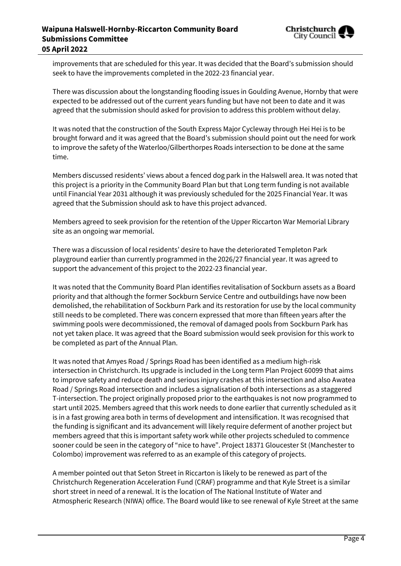

improvements that are scheduled for this year. It was decided that the Board's submission should seek to have the improvements completed in the 2022-23 financial year.

There was discussion about the longstanding flooding issues in Goulding Avenue, Hornby that were expected to be addressed out of the current years funding but have not been to date and it was agreed that the submission should asked for provision to address this problem without delay.

It was noted that the construction of the South Express Major Cycleway through Hei Hei is to be brought forward and it was agreed that the Board's submission should point out the need for work to improve the safety of the Waterloo/Gilberthorpes Roads intersection to be done at the same time.

Members discussed residents' views about a fenced dog park in the Halswell area. It was noted that this project is a priority in the Community Board Plan but that Long term funding is not available until Financial Year 2031 although it was previously scheduled for the 2025 Financial Year. It was agreed that the Submission should ask to have this project advanced.

Members agreed to seek provision for the retention of the Upper Riccarton War Memorial Library site as an ongoing war memorial.

There was a discussion of local residents' desire to have the deteriorated Templeton Park playground earlier than currently programmed in the 2026/27 financial year. It was agreed to support the advancement of this project to the 2022-23 financial year.

It was noted that the Community Board Plan identifies revitalisation of Sockburn assets as a Board priority and that although the former Sockburn Service Centre and outbuildings have now been demolished, the rehabilitation of Sockburn Park and its restoration for use by the local community still needs to be completed. There was concern expressed that more than fifteen years after the swimming pools were decommissioned, the removal of damaged pools from Sockburn Park has not yet taken place. It was agreed that the Board submission would seek provision for this work to be completed as part of the Annual Plan.

It was noted that Amyes Road / Springs Road has been identified as a medium high-risk intersection in Christchurch. Its upgrade is included in the Long term Plan Project 60099 that aims to improve safety and reduce death and serious injury crashes at this intersection and also Awatea Road / Springs Road intersection and includes a signalisation of both intersections as a staggered T-intersection. The project originally proposed prior to the earthquakes is not now programmed to start until 2025. Members agreed that this work needs to done earlier that currently scheduled as it is in a fast growing area both in terms of development and intensification. It was recognised that the funding is significant and its advancement will likely require deferment of another project but members agreed that this is important safety work while other projects scheduled to commence sooner could be seen in the category of "nice to have". Project 18371 Gloucester St (Manchester to Colombo) improvement was referred to as an example of this category of projects.

A member pointed out that Seton Street in Riccarton is likely to be renewed as part of the Christchurch Regeneration Acceleration Fund (CRAF) programme and that Kyle Street is a similar short street in need of a renewal. It is the location of The National Institute of Water and Atmospheric Research (NIWA) office. The Board would like to see renewal of Kyle Street at the same